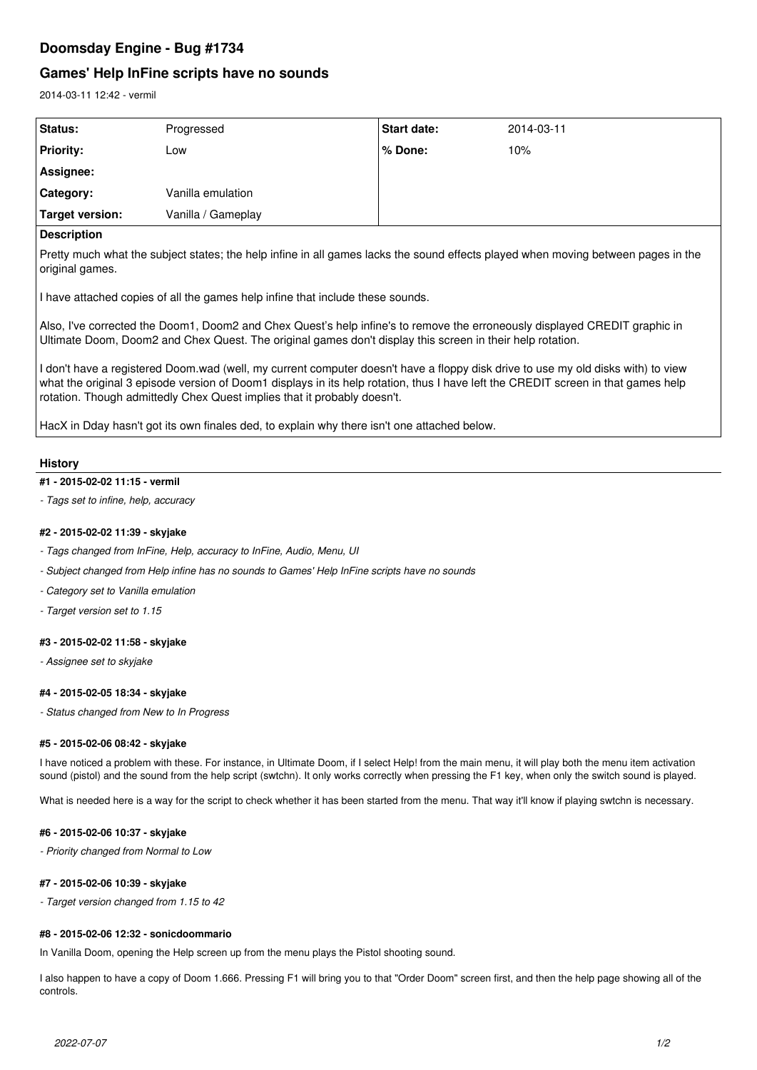# **Doomsday Engine - Bug #1734**

# **Games' Help InFine scripts have no sounds**

2014-03-11 12:42 - vermil

| <b>Status:</b>   | Progressed         | <b>Start date:</b> | 2014-03-11 |
|------------------|--------------------|--------------------|------------|
| <b>Priority:</b> | Low                | % Done:            | 10%        |
| Assignee:        |                    |                    |            |
| Category:        | Vanilla emulation  |                    |            |
| Target version:  | Vanilla / Gameplay |                    |            |

## **Description**

Pretty much what the subject states; the help infine in all games lacks the sound effects played when moving between pages in the original games.

I have attached copies of all the games help infine that include these sounds.

Also, I've corrected the Doom1, Doom2 and Chex Quest's help infine's to remove the erroneously displayed CREDIT graphic in Ultimate Doom, Doom2 and Chex Quest. The original games don't display this screen in their help rotation.

I don't have a registered Doom.wad (well, my current computer doesn't have a floppy disk drive to use my old disks with) to view what the original 3 episode version of Doom1 displays in its help rotation, thus I have left the CREDIT screen in that games help rotation. Though admittedly Chex Quest implies that it probably doesn't.

HacX in Dday hasn't got its own finales ded, to explain why there isn't one attached below.

## **History**

## **#1 - 2015-02-02 11:15 - vermil**

*- Tags set to infine, help, accuracy*

## **#2 - 2015-02-02 11:39 - skyjake**

- *Tags changed from InFine, Help, accuracy to InFine, Audio, Menu, UI*
- *Subject changed from Help infine has no sounds to Games' Help InFine scripts have no sounds*
- *Category set to Vanilla emulation*
- *Target version set to 1.15*

## **#3 - 2015-02-02 11:58 - skyjake**

*- Assignee set to skyjake*

## **#4 - 2015-02-05 18:34 - skyjake**

*- Status changed from New to In Progress*

## **#5 - 2015-02-06 08:42 - skyjake**

I have noticed a problem with these. For instance, in Ultimate Doom, if I select Help! from the main menu, it will play both the menu item activation sound (pistol) and the sound from the help script (swtchn). It only works correctly when pressing the F1 key, when only the switch sound is played.

What is needed here is a way for the script to check whether it has been started from the menu. That way it'll know if playing swtchn is necessary.

## **#6 - 2015-02-06 10:37 - skyjake**

*- Priority changed from Normal to Low*

## **#7 - 2015-02-06 10:39 - skyjake**

*- Target version changed from 1.15 to 42*

## **#8 - 2015-02-06 12:32 - sonicdoommario**

In Vanilla Doom, opening the Help screen up from the menu plays the Pistol shooting sound.

I also happen to have a copy of Doom 1.666. Pressing F1 will bring you to that "Order Doom" screen first, and then the help page showing all of the controls.